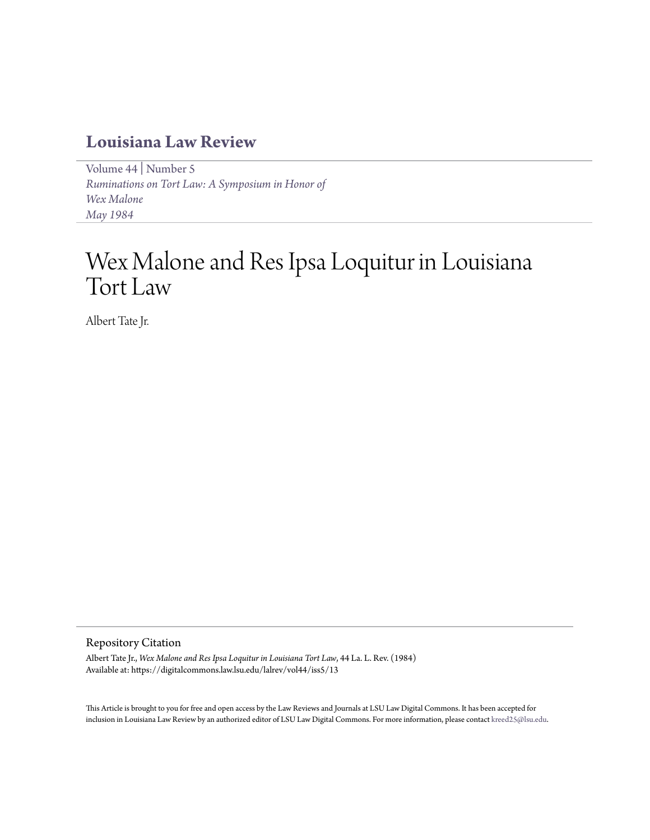## **[Louisiana Law Review](https://digitalcommons.law.lsu.edu/lalrev)**

[Volume 44](https://digitalcommons.law.lsu.edu/lalrev/vol44) | [Number 5](https://digitalcommons.law.lsu.edu/lalrev/vol44/iss5) *[Ruminations on Tort Law: A Symposium in Honor of](https://digitalcommons.law.lsu.edu/lalrev/vol44/iss5) [Wex Malone](https://digitalcommons.law.lsu.edu/lalrev/vol44/iss5) [May 1984](https://digitalcommons.law.lsu.edu/lalrev/vol44/iss5)*

# Wex Malone and Res Ipsa Loquitur in Louisiana Tort Law

Albert Tate Jr.

## Repository Citation

Albert Tate Jr., *Wex Malone and Res Ipsa Loquitur in Louisiana Tort Law*, 44 La. L. Rev. (1984) Available at: https://digitalcommons.law.lsu.edu/lalrev/vol44/iss5/13

This Article is brought to you for free and open access by the Law Reviews and Journals at LSU Law Digital Commons. It has been accepted for inclusion in Louisiana Law Review by an authorized editor of LSU Law Digital Commons. For more information, please contact [kreed25@lsu.edu](mailto:kreed25@lsu.edu).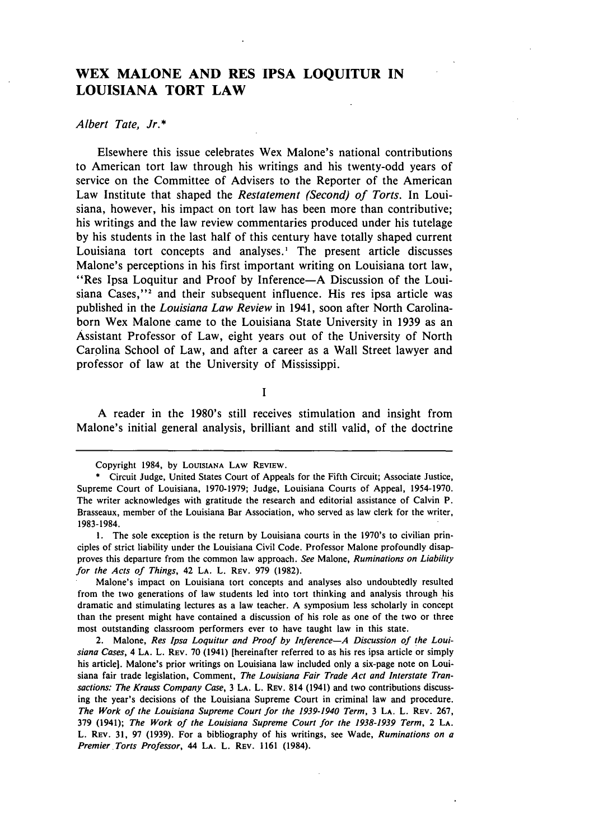## **WEX MALONE AND RES IPSA LOQUITUR IN LOUISIANA TORT LAW**

### *Albert Tate, Jr.\**

Elsewhere this issue celebrates Wex Malone's national contributions to American tort law through his writings and his twenty-odd years of service on the Committee of Advisers to the Reporter of the American Law Institute that shaped the *Restatement (Second) of Torts.* In Louisiana, however, his impact on tort law has been more than contributive; his writings and the law review commentaries produced under his tutelage **by** his students in the last half of this century have totally shaped current Louisiana tort concepts and analyses.' The present article discusses Malone's perceptions in his first important writing on Louisiana tort law, "Res Ipsa Loquitur and Proof **by** Inference-A Discussion of the Louisiana Cases,"<sup>2</sup> and their subsequent influence. His res ipsa article was published in the *Louisiana Law Review* in 1941, soon after North Carolinaborn Wex Malone came to the Louisiana State University in **1939** as an Assistant Professor of Law, eight years out of the University of North Carolina School of Law, and after a career as a Wall Street lawyer and professor of law at the University of Mississippi.

**I**

**A** reader in the 1980's still receives stimulation and insight from Malone's initial general analysis, brilliant and still valid, of the doctrine

Copyright 1984, **by** LOUISIANA LAW REVIEW.

**<sup>\*</sup>** Circuit Judge, United States Court of Appeals for the Fifth Circuit; Associate Justice, Supreme Court of Louisiana, **1970-1979;** Judge, Louisiana Courts of Appeal, **1954-1970.** The writer acknowledges with gratitude the research and editorial assistance of Calvin P. Brasseaux, member of the Louisiana Bar Association, who served as law clerk for the writer, **1983-1984.**

**<sup>1.</sup>** The sole exception is the return **by** Louisiana courts in the 1970's to civilian principles of strict liability under the Louisiana Civil Code. Professor Malone profoundly disapproves this departure from the common law approach. *See* Malone, *Ruminations on Liability for the Acts of* Things, 42 **LA.** L. **REV. 979 (1982).**

Malone's impact on Louisiana tort concepts and analyses also undoubtedly resulted from the two generations of law students led into tort thinking and analysis through his dramatic and stimulating lectures as a law teacher. **A** symposium less scholarly in concept than the present might have contained a discussion of his role as one of the two or three most outstanding classroom performers ever to have taught law in this state.

<sup>2.</sup> Malone, *Res Ipsa Loquitur and Proof by Inference-A Discussion of the Louisiana Cases,* 4 **LA.** L. REV. **70** (1941) [hereinafter referred to as his res ipsa article or simply his article]. Malone's prior writings on Louisiana law included only a six-page note on Louisiana fair trade legislation, Comment, *The Louisiana Fair Trade Act and Interstate Transactions: The Krauss Company Case,* **3 LA.** L. REV. 814 (1941) and two contributions discussing the year's decisions of the Louisiana Supreme Court in criminal law and procedure. *The Work of the Louisiana Supreme Court for the 1939-1940 Term,* **3 LA.** L. REV. **267, 379** (1941); *The Work of the Louisiana Supreme Court for the 1938-1939 Term,* 2 **LA.** L. REV. **31, 97 (1939).** For a bibliography of his writings, see Wade, *Ruminations on a Premier Torts Professor,* 44 **LA.** L. REv. **1161** (1984).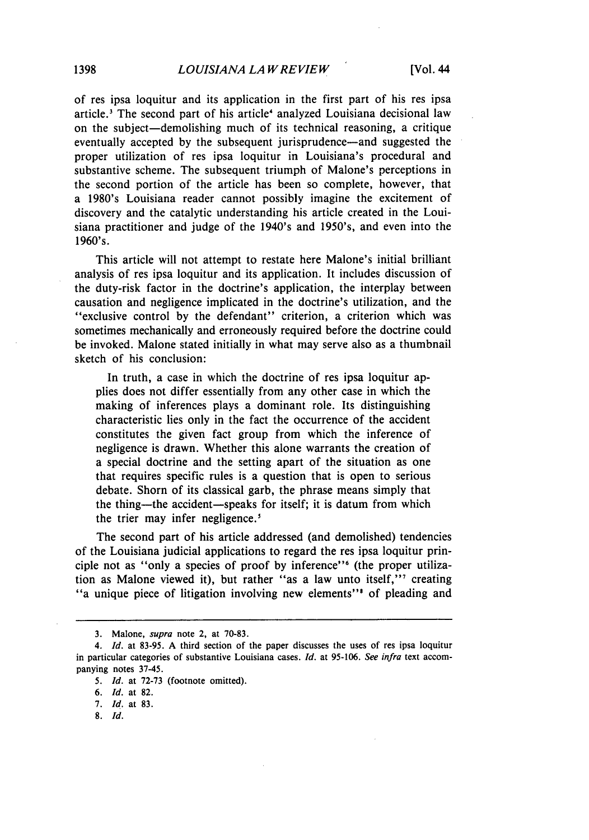of res ipsa loquitur and its application in the first part of his res ipsa article.<sup>3</sup> The second part of his article<sup>4</sup> analyzed Louisiana decisional law on the subject-demolishing much of its technical reasoning, a critique eventually accepted by the subsequent jurisprudence—and suggested the proper utilization of res ipsa loquitur in Louisiana's procedural and substantive scheme. The subsequent triumph of Malone's perceptions in the second portion of the article has been so complete, however, that a 1980's Louisiana reader cannot possibly imagine the excitement of discovery and the catalytic understanding his article created in the Louisiana practitioner and judge of the 1940's and 1950's, and even into the 1960's.

This article will not attempt to restate here Malone's initial brilliant analysis of res ipsa loquitur and its application. It includes discussion of the duty-risk factor in the doctrine's application, the interplay between causation and negligence implicated in the doctrine's utilization, and the "exclusive control by the defendant" criterion, a criterion which was sometimes mechanically and erroneously required before the doctrine could be invoked. Malone stated initially in what may serve also as a thumbnail sketch of his conclusion:

In truth, a case in which the doctrine of res ipsa loquitur applies does not differ essentially from any other case in which the making of inferences plays a dominant role. Its distinguishing characteristic lies only in the fact the occurrence of the accident constitutes the given fact group from which the inference of negligence is drawn. Whether this alone warrants the creation of a special doctrine and the setting apart of the situation as one that requires specific rules is a question that is open to serious debate. Shorn of its classical garb, the phrase means simply that the thing-the accident-speaks for itself; it is datum from which the trier may infer negligence.<sup>5</sup>

The second part of his article addressed (and demolished) tendencies of the Louisiana judicial applications to regard the res ipsa loquitur principle not as "only a species of proof by inference'" (the proper utilization as Malone viewed it), but rather "as a law unto itself," creating "<br>a unique piece of litigation involving new elements" of pleading and

8. *Id.*

<sup>3.</sup> Malone, *supra* note 2, at 70-83.

*<sup>4.</sup> Id.* at 83-95. A third section of the paper discusses the uses of res ipsa loquitur in particular categories of substantive Louisiana cases. *Id.* at **95-106.** *See infra* text accompanying notes 37-45.

*<sup>5.</sup> Id.* at 72-73 (footnote omitted).

*<sup>6.</sup> Id.* at 82.

<sup>7.</sup> *Id.* at 83.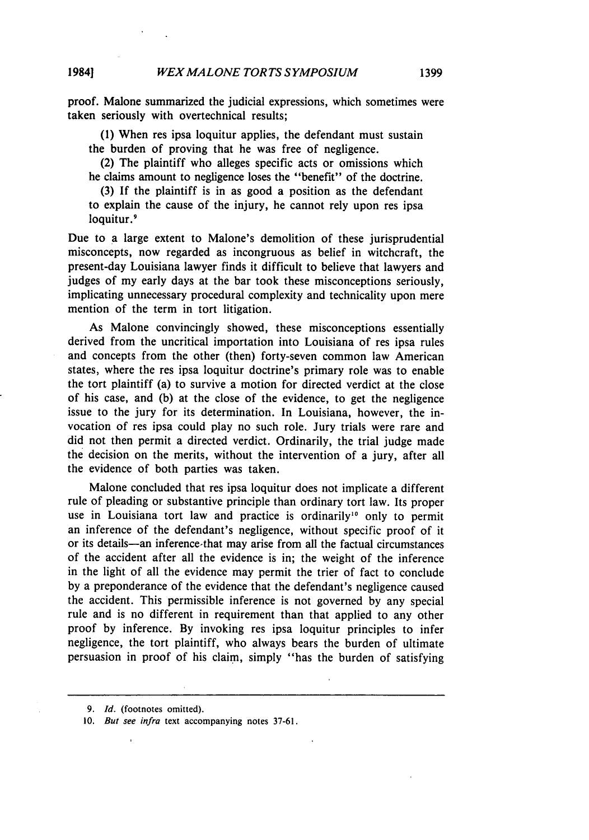proof. Malone summarized the judicial expressions, which sometimes were taken seriously with overtechnical results;

(1) When res ipsa loquitur applies, the defendant must sustain the burden of proving that he was free of negligence.

(2) The plaintiff who alleges specific acts or omissions which he claims amount to negligence loses the "benefit" of the doctrine.

(3) If the plaintiff is in as good a position as the defendant to explain the cause of the injury, he cannot rely upon res ipsa loquitur.<sup>9</sup>

Due to a large extent to Malone's demolition of these jurisprudential misconcepts, now regarded as incongruous as belief in witchcraft, the present-day Louisiana lawyer finds it difficult to believe that lawyers and judges of my early days at the bar took these misconceptions seriously, implicating unnecessary procedural complexity and technicality upon mere mention of the term in tort litigation.

As Malone convincingly showed, these misconceptions essentially derived from the uncritical importation into Louisiana of res ipsa rules and concepts from the other (then) forty-seven common law American states, where the res ipsa loquitur doctrine's primary role was to enable the tort plaintiff (a) to survive a motion for directed verdict at the close of his case, and (b) at the close of the evidence, to get the negligence issue to the jury for its determination. In Louisiana, however, the invocation of res ipsa could play no such role. Jury trials were rare and did not then permit a directed verdict. Ordinarily, the trial judge made the decision on the merits, without the intervention of a jury, after all the evidence of both parties was taken.

Malone concluded that res ipsa loquitur does not implicate a different rule of pleading or substantive principle than ordinary tort law. Its proper use in Louisiana tort law and practice is ordinarily<sup>10</sup> only to permit an inference of the defendant's negligence, without specific proof of it or its details-an inference-that may arise from all the factual circumstances of the accident after all the evidence is in; the weight of the inference in the light of all the evidence may permit the trier of fact to conclude by a preponderance of the evidence that the defendant's negligence caused the accident. This permissible inference is not governed by any special rule and is no different in requirement than that applied to any other proof by inference. By invoking res ipsa loquitur principles to infer negligence, the tort plaintiff, who always bears the burden of ultimate persuasion in proof of his claim, simply "has the burden of satisfying

*<sup>9.</sup> Id.* (footnotes omitted).

<sup>10.</sup> *But see infra* text accompanying notes 37-61.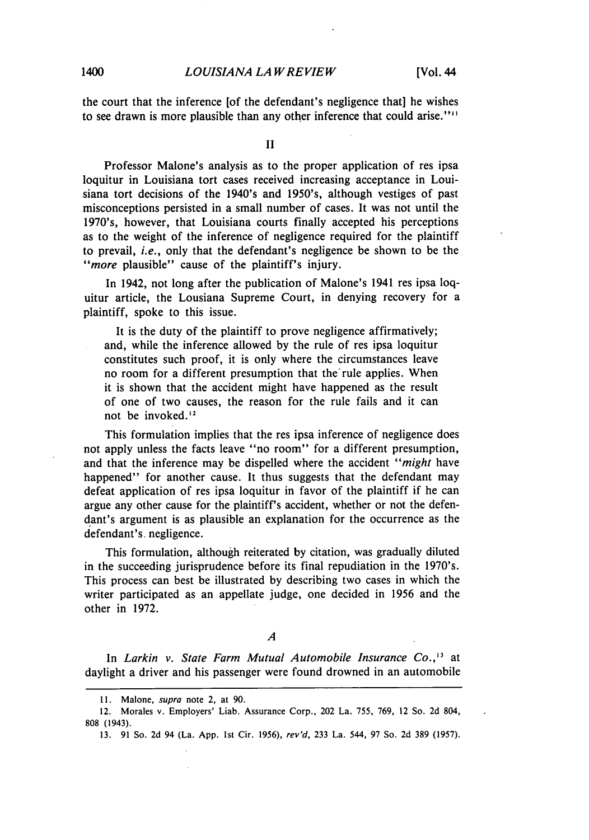*0LOUISIANA LA W REVIEW* 1400 **[Vol.** 44

the court that the inference [of the defendant's negligence that] he wishes to see drawn is more plausible than any other inference that could arise."

II

Professor Malone's analysis as to the proper application of res ipsa loquitur in Louisiana tort cases received increasing acceptance in Louisiana tort decisions of the 1940's and 1950's, although vestiges of past misconceptions persisted in a small number of cases. It was not until the 1970's, however, that Louisiana courts finally accepted his perceptions as to the weight of the inference of negligence required for the plaintiff to prevail, i.e., only that the defendant's negligence be shown to be the *"more* plausible" cause of the plaintiff's injury.

In 1942, not long after the publication of Malone's 1941 res ipsa loquitur article, the Lousiana Supreme Court, in denying recovery for a plaintiff, spoke to this issue.

It is the duty of the plaintiff to prove negligence affirmatively; and, while the inference allowed by the rule of res ipsa loquitur constitutes such proof, it is only where the circumstances leave no room for a different presumption that the'rule applies. When it is shown that the accident might have happened as the result of one of two causes, the reason for the rule fails and it can not be invoked.<sup>12</sup>

This formulation implies that the res ipsa inference of negligence does not apply unless the facts leave "no room" for a different presumption, and that the inference may be dispelled where the accident *"might* have happened" for another cause. It thus suggests that the defendant may defeat application of res ipsa loquitur in favor of the plaintiff if he can argue any other cause for the plaintiff's accident, whether or not the defendant's argument is as plausible an explanation for the occurrence as the defendant's. negligence.

This formulation, although reiterated by citation, was gradually diluted in the succeeding jurisprudence before its final repudiation in the 1970's. This process can best be illustrated by describing two cases in which the writer participated as an appellate judge, one decided in 1956 and the other in 1972.

*A*

In *Larkin v. State Farm Mutual Automobile Insurance Co.*,<sup>13</sup> at daylight a driver and his passenger were found drowned in an automobile

**<sup>11.</sup>** Malone, *supra* note 2, at 90.

<sup>12.</sup> Morales v. Employers' Liab. Assurance Corp., 202 La. 755, 769, 12 So. 2d 804, 808 (1943).

<sup>13. 91</sup> So. 2d 94 (La. App. 1st Cir. 1956), *rev'd,* 233 La. 544, 97 So. 2d 389 (1957).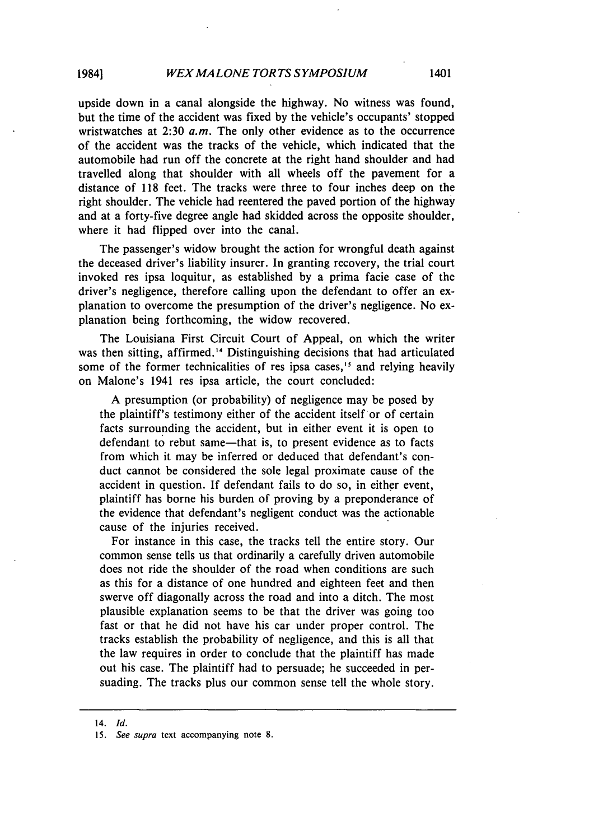upside down in a canal alongside the highway. No witness was found, but the time of the accident was fixed by the vehicle's occupants' stopped wristwatches at 2:30  $a.m$ . The only other evidence as to the occurrence of the accident was the tracks of the vehicle, which indicated that the automobile had run off the concrete at the right hand shoulder and had travelled along that shoulder with all wheels off the pavement for a distance of 118 feet. The tracks were three to four inches deep on the right shoulder. The vehicle had reentered the paved portion of the highway and at a forty-five degree angle had skidded across the opposite shoulder, where it had flipped over into the canal.

The passenger's widow brought the action for wrongful death against the deceased driver's liability insurer. In granting recovery, the trial court invoked res ipsa loquitur, as established by a prima facie case of the driver's negligence, therefore calling upon the defendant to offer an explanation to overcome the presumption of the driver's negligence. No explanation being forthcoming, the widow recovered.

The Louisiana First Circuit Court of Appeal, on which the writer was then sitting, affirmed."' Distinguishing decisions that had articulated some of the former technicalities of res ipsa cases,<sup>15</sup> and relying heavily on Malone's 1941 res ipsa article, the court concluded:

A presumption (or probability) of negligence may be posed by the plaintiff's testimony either of the accident itself or of certain facts surrounding the accident, but in either event it is open to defendant to rebut same—that is, to present evidence as to facts from which it may be inferred or deduced that defendant's conduct cannot be considered the sole legal proximate cause of the accident in question. If defendant fails to do so, in either event, plaintiff has borne his burden of proving by a preponderance of the evidence that defendant's negligent conduct was the actionable cause of the injuries received.

For instance in this case, the tracks tell the entire story. Our common sense tells us that ordinarily a carefully driven automobile does not ride the shoulder of the road when conditions are such as this for a distance of one hundred and eighteen feet and then swerve off diagonally across the road and into a ditch. The most plausible explanation seems to be that the driver was going too fast or that he did not have his car under proper control. The tracks establish the probability of negligence, and this is all that the law requires in order to conclude that the plaintiff has made out his case. The plaintiff had to persuade; he succeeded in persuading. The tracks plus our common sense tell the whole story.

<sup>14.</sup> **Id.**

<sup>15.</sup> *See supra* text accompanying note 8.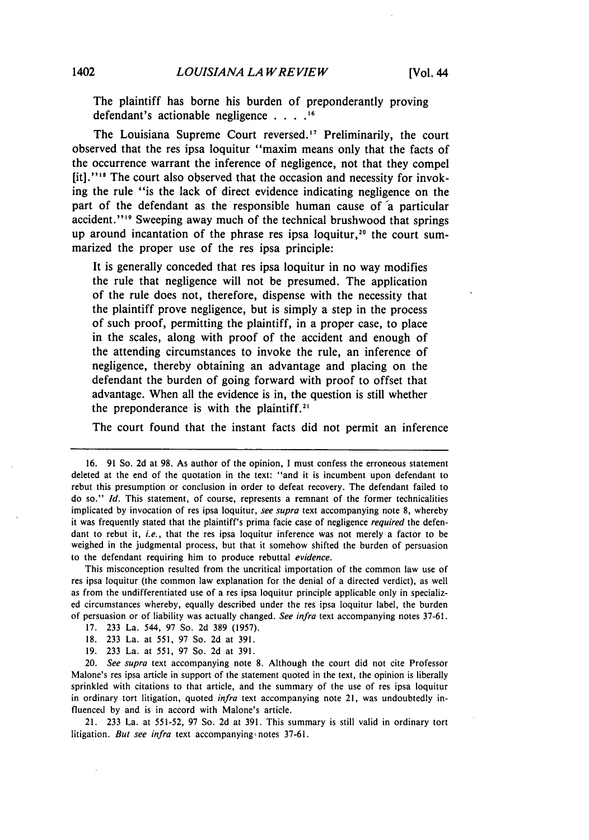The plaintiff has borne his burden of preponderantly proving defendant's actionable negligence **.... ,**

The Louisiana Supreme Court reversed.<sup>17</sup> Preliminarily, the court observed that the res ipsa loquitur "maxim means only that the facts of the occurrence warrant the inference of negligence, not that they compel [it]."<sup>18</sup> The court also observed that the occasion and necessity for invoking the rule "is the lack of direct evidence indicating negligence on the part of the defendant as the responsible human cause of 'a particular accident."<sup>19</sup> Sweeping away much of the technical brushwood that springs up around incantation of the phrase res ipsa loquitur,<sup>20</sup> the court summarized the proper use of the res ipsa principle:

It is generally conceded that res ipsa loquitur in no way modifies the rule that negligence will not be presumed. The application of the rule does not, therefore, dispense with the necessity that the plaintiff prove negligence, but is simply a step in the process of such proof, permitting the plaintiff, in a proper case, to place in the scales, along with proof of the accident and enough of the attending circumstances to invoke the rule, an inference of negligence, thereby obtaining an advantage and placing on the defendant the burden of going forward with proof to offset that advantage. When all the evidence is in, the question is still whether the preponderance is with the plaintiff.'

The court found that the instant facts did not permit an inference

This misconception resulted from the uncritical importation of the common law use of res ipsa loquitur (the common law explanation for the denial of a directed verdict), as well as from the undifferentiated use of a res ipsa loquitur principle applicable only in specialized circumstances whereby, equally described under the res ipsa loquitur label, the burden of persuasion or of liability was actually changed. *See infra* text accompanying notes 37-61.

- 17. 233 La. 544, 97 So. 2d 389 (1957).
- 18. 233 La. at 551, 97 So. 2d at 391.
- 19. 233 La. at 551, 97 So. 2d at 391.

20. *See supra* text accompanying note 8. Although the court did not cite Professor Malone's res ipsa article in support of the statement quoted in the text, the opinion is liberally sprinkled with citations to that article, and the summary of the use of res ipsa loquitur in ordinary tort litigation, quoted *infra* text accompanying note 21, was undoubtedly influenced by and is in accord with Malone's article.

21. 233 La. at 551-52, 97 So. 2d at 391. This summary is still valid in ordinary tort litigation. *But see infra* text accompanying notes 37-61.

<sup>16. 91</sup> So. 2d at 98. As author of the opinion, **I** must confess the erroneous statement deleted at the end of the quotation in the text: "and it is incumbent upon defendant to rebut this presumption or conclusion in order to defeat recovery. The defendant failed to do so." *Id.* This statement, of course, represents a remnant of the former technicalities implicated by invocation of res ipsa loquitur, *see supra* text accompanying note 8, whereby it was frequently stated that the plaintiff's prima facie case of negligence *required* the defendant to rebut it, *i.e.,* that the res ipsa loquitur inference was not merely a factor to be weighed in the judgmental process, but that it somehow shifted the burden of persuasion to the defendant requiring him to produce rebuttal *evidence.*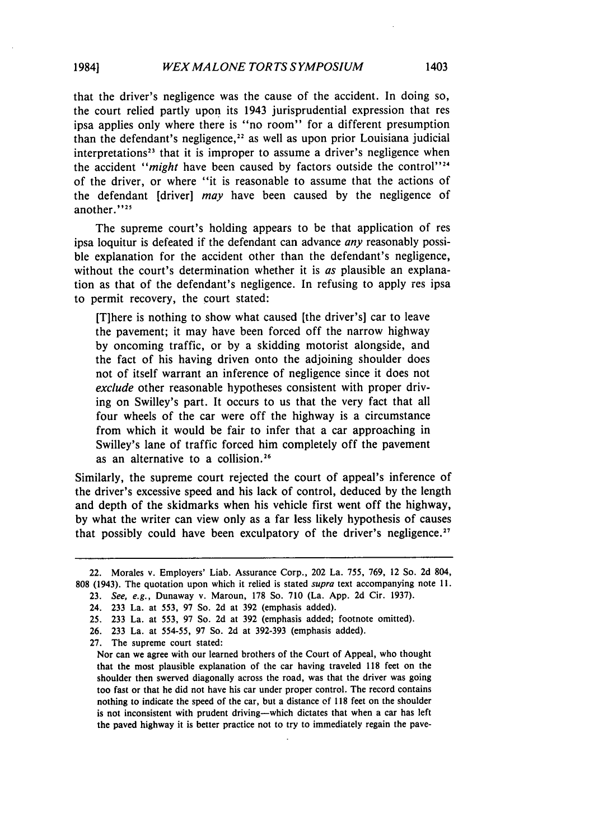that the driver's negligence was the cause of the accident. In doing so, the court relied partly upon its 1943 jurisprudential expression that res ipsa applies only where there is "no room" for a different presumption than the defendant's negligence, $22$  as well as upon prior Louisiana judicial interpretations<sup>23</sup> that it is improper to assume a driver's negligence when the accident "might have been caused by factors outside the control"<sup>24</sup> of the driver, or where "it is reasonable to assume that the actions of the defendant [driver] *may* have been caused by the negligence of another."<sup>25</sup>

The supreme court's holding appears to be that application of res ipsa loquitur is defeated if the defendant can advance *any* reasonably possible explanation for the accident other than the defendant's negligence, without the court's determination whether it is *as* plausible an explanation as that of the defendant's negligence. In refusing to apply res ipsa to permit recovery, the court stated:

[T]here is nothing to show what caused [the driver's] car to leave the pavement; it may have been forced off the narrow highway by oncoming traffic, or by a skidding motorist alongside, and the fact of his having driven onto the adjoining shoulder does not of itself warrant an inference of negligence since it does not exclude other reasonable hypotheses consistent with proper driving on Swilley's part. It occurs to us that the very fact that all four wheels of the car were off the highway is a circumstance from which it would be fair to infer that a car approaching in Swilley's lane of traffic forced him completely off the pavement as an alternative to a collision.<sup>26</sup>

Similarly, the supreme court rejected the court of appeal's inference of the driver's excessive speed and his lack of control, deduced by the length and depth of the skidmarks when his vehicle first went off the highway, by what the writer can view only as a far less likely hypothesis of causes that possibly could have been exculpatory of the driver's negligence.<sup>27</sup>

<sup>22.</sup> Morales v. Employers' Liab. Assurance Corp., 202 La. 755, 769, 12 So. 2d 804, 808 (1943). The quotation upon which it relied is stated *supra* text accompanying note 11.

<sup>23.</sup> *See, e.g.,* Dunaway v. Maroun, 178 So. 710 (La. App. 2d Cir. 1937).

<sup>24. 233</sup> La. at 553, 97 So. 2d at 392 (emphasis added).

<sup>25. 233</sup> La. at 553, 97 So. 2d at 392 (emphasis added; footnote omitted).

<sup>26. 233</sup> La. at 554-55, 97 So. 2d at 392-393 (emphasis added).

<sup>27.</sup> The supreme court stated:

Nor can we agree with our learned brothers of the Court of Appeal, who thought that the most plausible explanation of the car having traveled 118 feet on the shoulder then swerved diagonally across the road, was that the driver was going too fast or that he did not have his car under proper control. The record contains nothing to indicate the speed of the car, but a distance **of 118** feet on the shoulder is not inconsistent with prudent driving-which dictates that when a car has left the paved highway it is better practice not to try to immediately regain the pave-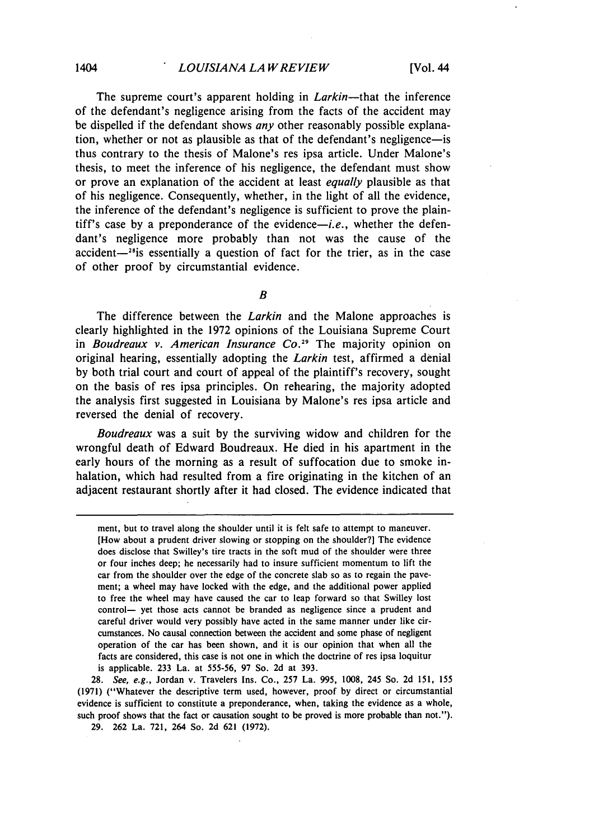The supreme court's apparent holding in *Larkin-that* the inference of the defendant's negligence arising from the facts of the accident may be dispelled if the defendant shows *any* other reasonably possible explanation, whether or not as plausible as that of the defendant's negligence-is thus contrary to the thesis of Malone's res ipsa article. Under Malone's thesis, to meet the inference of his negligence, the defendant must show or prove an explanation of the accident at least *equally* plausible as that of his negligence. Consequently, whether, in the light of all the evidence, the inference of the defendant's negligence is sufficient to prove the plaintiff's case by a preponderance of the evidence-i.e., whether the defendant's negligence more probably than not was the cause of the accident $-$ <sup>28</sup>is essentially a question of fact for the trier, as in the case of other proof **by** circumstantial evidence.

*B*

The difference between the *Larkin* and the Malone approaches is clearly highlighted in the **1972** opinions of the Louisiana Supreme Court in Boudreaux *v. American Insurance Co."* The majority opinion on original hearing, essentially adopting the *Larkin* test, affirmed a denial **by** both trial court and court of appeal of the plaintiff's recovery, sought on the basis of res ipsa principles. On rehearing, the majority adopted the analysis first suggested in Louisiana **by** Malone's res ipsa article and reversed the denial of recovery.

*Boudreaux* was a suit **by** the surviving widow and children for the wrongful death of Edward Boudreaux. He died in his apartment in the early hours of the morning as a result of suffocation due to smoke inhalation, which had resulted from a fire originating in the kitchen of an adjacent restaurant shortly after it had closed. The evidence indicated that

28. See, e.g., Jordan v. Travelers Ins. Co., 257 La. 995, 1008, 245 So. 2d 151, 155 **(1971)** ("Whatever the descriptive term used, however, proof **by** direct or circumstantial evidence is sufficient to constitute a preponderance, when, taking the evidence as a whole, such proof shows that the fact or causation sought to be proved is more probable than not.").

29. 262 La. 721, 264 So. 2d 621 (1972).

ment, but to travel along the shoulder until it is felt safe to attempt to maneuver. [How about a prudent driver slowing or stopping on the shoulder?] The evidence does disclose that Swilley's tire tracts in the soft mud of the shoulder were three or four inches deep; he necessarily had to insure sufficient momentum to lift the car from the shoulder over the edge of the concrete slab so as to regain the pavement; a wheel may have locked with the edge, and the additional power applied to free the wheel may have caused the car to leap forward so that Swilley lost control- yet those acts cannot be branded as negligence since a prudent and careful driver would very possibly have acted in the same manner under like circumstances. No causal connection between the accident and some phase of negligent operation of the car has been shown, and it is our opinion that when all the facts are considered, this case is not one in which the doctrine of res ipsa loquitur is applicable. 233 La. at 555-56, 97 So. 2d at 393.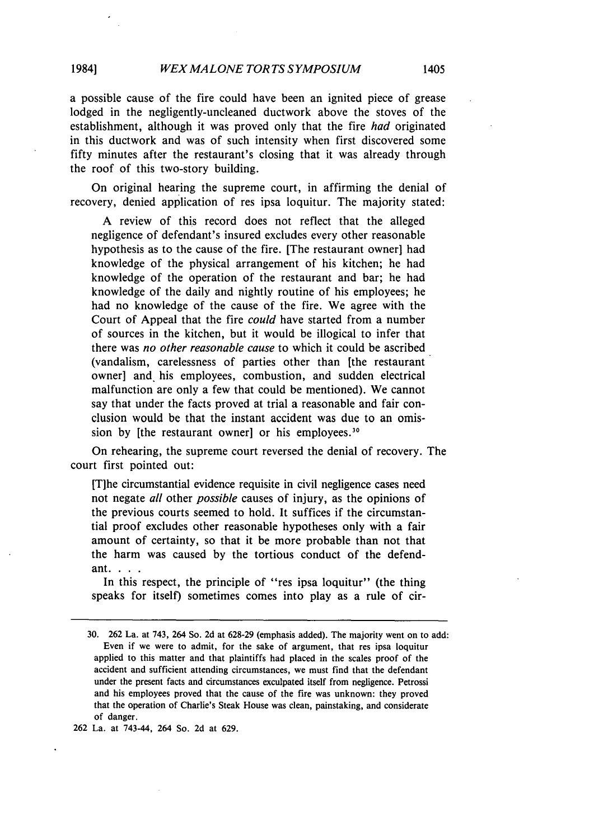a possible cause of the fire could have been an ignited piece of grease lodged in the negligently-uncleaned ductwork above the stoves of the establishment, although it was proved only that the fire *had* originated in this ductwork and was of such intensity when first discovered some fifty minutes after the restaurant's closing that it was already through the roof of this two-story building.

On original hearing the supreme court, in affirming the denial of recovery, denied application of res ipsa loquitur. The majority stated:

A review of this record does not reflect that the alleged negligence of defendant's insured excludes every other reasonable hypothesis as to the cause of the fire. [The restaurant owner] had knowledge of the physical arrangement of his kitchen; he had knowledge of the operation of the restaurant and bar; he had knowledge of the daily and nightly routine of his employees; he had no knowledge of the cause of the fire. We agree with the Court of Appeal that the fire *could* have started from a number of sources in the kitchen, but it would be illogical to infer that there was *no other reasonable cause* to which it could be ascribed (vandalism, carelessness of parties other than [the restaurant owner] and his employees, combustion, and sudden electrical malfunction are only a few that could be mentioned). We cannot say that under the facts proved at trial a reasonable and fair conclusion would be that the instant accident was due to an omission by [the restaurant owner] or his employees.<sup>30</sup>

On rehearing, the supreme court reversed the denial of recovery. The court first pointed out:

[Tihe circumstantial evidence requisite in civil negligence cases need not negate *all* other *possible* causes of injury, as the opinions of the previous courts seemed to hold. It suffices if the circumstantial proof excludes other reasonable hypotheses only with a fair amount of certainty, so that it be more probable than not that the harm was caused by the tortious conduct of the defendant. . . .

In this respect, the principle of "res ipsa loquitur" (the thing speaks for itself) sometimes comes into play as a rule of cir-

262 La. at 743-44, 264 So. 2d at 629.

<sup>30. 262</sup> La. at 743, 264 So. 2d at 628-29 (emphasis added). The majority went on to add: Even if we were to admit, for the sake of argument, that res ipsa loquitur applied to this matter and that plaintiffs had placed in the scales proof of the accident and sufficient attending circumstances, we must find that the defendant under the present facts and circumstances exculpated itself from negligence. Petrossi and his employees proved that the cause of the fire was unknown: they proved that the operation of Charlie's Steak House was clean, painstaking, and considerate of danger.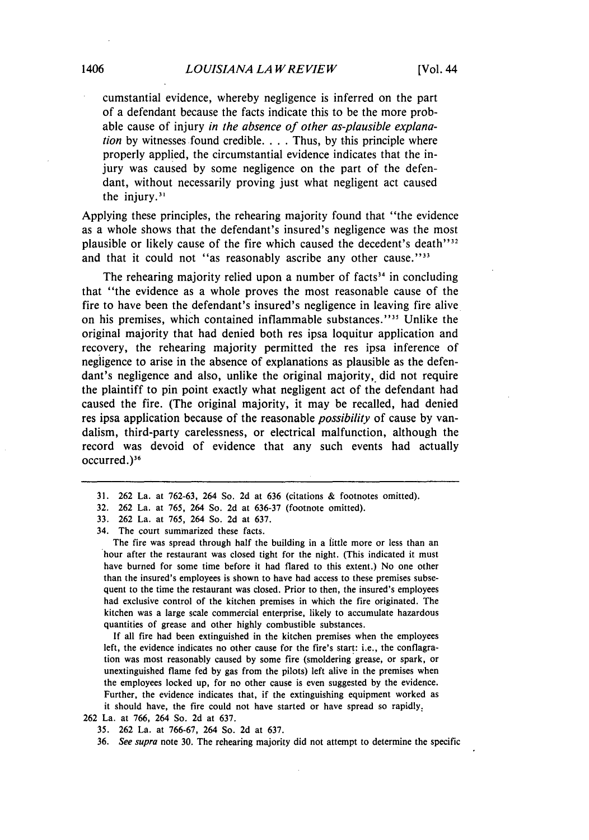cumstantial evidence, whereby negligence is inferred on the part of a defendant because the facts indicate this to be the more probable cause of injury *in the absence of other as-plausible explanation* by witnesses found credible.... Thus, by this principle where properly applied, the circumstantial evidence indicates that the injury was caused by some negligence on the part of the defendant, without necessarily proving just what negligent act caused the injury.'

Applying these principles, the rehearing majority found that "the evidence as a whole shows that the defendant's insured's negligence was the most plausible or likely cause of the fire which caused the decedent's death''<sup>32</sup> and that it could not "as reasonably ascribe any other cause."<sup>33</sup>

The rehearing majority relied upon a number of facts<sup>34</sup> in concluding that "the evidence as a whole proves the most reasonable cause of the fire to have been the defendant's insured's negligence in leaving fire alive on his premises, which contained inflammable substances."<sup>35</sup> Unlike the original majority that had denied both res ipsa loquitur application and recovery, the rehearing majority permitted the res ipsa inference of negligence to arise in the absence of explanations as plausible as the defendant's negligence and also, unlike the original majority, did not require the plaintiff to pin point exactly what negligent act of the defendant had caused the fire. (The original majority, it may be recalled, had denied res ipsa application because of the reasonable *possibility* of cause by vandalism, third-party carelessness, or electrical malfunction, although the record was devoid of evidence that any such events had actually occurred.)<sup>36</sup>

The fire was spread through half the building in a little more or less than an hour after the restaurant was closed tight for the night. (This indicated it must have burned for some time before it had flared to this extent.) No one other than the insured's employees is shown to have had access to these premises subsequent to the time the restaurant was closed. Prior to then, the insured's employees had exclusive control of the kitchen premises in which the fire originated. The kitchen was a large scale commercial enterprise, likely to accumulate hazardous quantities of grease and other highly combustible substances.

If all fire had been extinguished in the kitchen premises when the employees left, the evidence indicates no other cause for the fire's start: i.e., the conflagration was most reasonably caused by some fire (smoldering grease, or spark, or unextinguished flame fed by gas from the pilots) left alive in the premises when the employees locked up, for no other cause is even suggested by the evidence. Further, the evidence indicates that, if the extinguishing equipment worked as it should have, the fire could not have started or have spread so rapidly,

262 La. at 766, 264 So. 2d at 637.

35. 262 La. at 766-67, 264 So. 2d at 637.

36. *See supra* note 30. The rehearing majority did not attempt to determine the specific

<sup>31. 262</sup> La. at 762-63, 264 So. 2d at 636 (citations & footnotes omitted).

<sup>32. 262</sup> La. at 765, 264 So. 2d at 636-37 (footnote omitted).

<sup>33. 262</sup> La. at 765, 264 So. 2d at 637.

<sup>34.</sup> The court summarized these facts.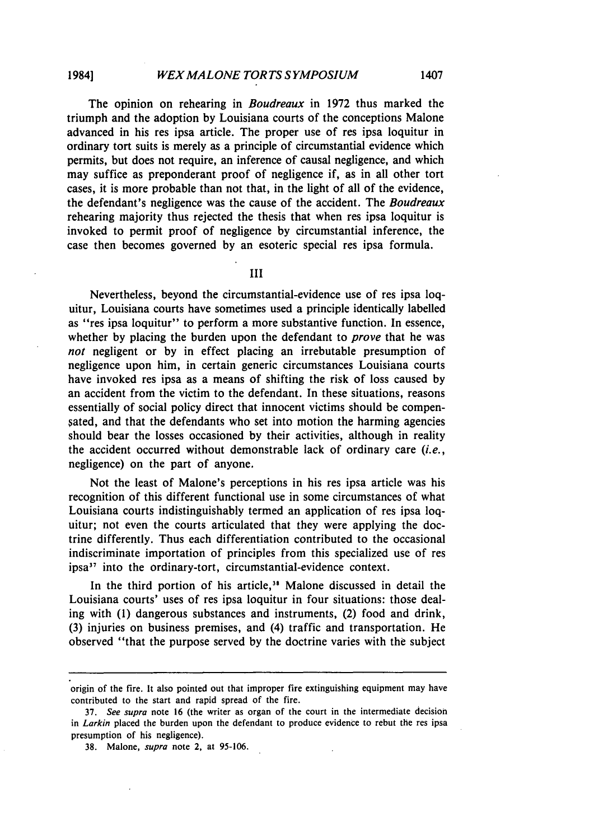The opinion on rehearing in *Boudreaux* in 1972 thus marked the triumph and the adoption by Louisiana courts of the conceptions Malone advanced in his res ipsa article. The proper use of res ipsa loquitur in ordinary tort suits is merely as a principle of circumstantial evidence which permits, but does not require, an inference of causal negligence, and which may suffice as preponderant proof of negligence if, as in all other tort cases, it is more probable than not that, in the light of all of the evidence, the defendant's negligence was the cause of the accident. The *Boudreaux* rehearing majority thus rejected the thesis that when res ipsa loquitur is invoked to permit proof of negligence by circumstantial inference, the case then becomes governed by an esoteric special res ipsa formula.

III

Nevertheless, beyond the circumstantial-evidence use of res ipsa loquitur, Louisiana courts have sometimes used a principle identically labelled as "res ipsa loquitur" to perform a more substantive function. In essence, whether by placing the burden upon the defendant to *prove* that he was *not* negligent or by in effect placing an irrebutable presumption of negligence upon him, in certain generic circumstances Louisiana courts have invoked res ipsa as a means of shifting the risk of loss caused by an accident from the victim to the defendant. In these situations, reasons essentially of social policy direct that innocent victims should be compensated, and that the defendants who set into motion the harming agencies should bear the losses occasioned by their activities, although in reality the accident occurred without demonstrable lack of ordinary care *(i.e.,* negligence) on the part of anyone.

Not the least of Malone's perceptions in his res ipsa article was his recognition of this different functional use in some circumstances of what Louisiana courts indistinguishably termed an application of res ipsa loquitur; not even the courts articulated that they were applying the doctrine differently. Thus each differentiation contributed to the occasional indiscriminate importation of principles from this specialized use of res ipsa<sup>37</sup> into the ordinary-tort, circumstantial-evidence context.

In the third portion of his article," Malone discussed in detail the Louisiana courts' uses of res ipsa loquitur in four situations: those dealing with (1) dangerous substances and instruments, (2) food and drink, (3) injuries on business premises, and (4) traffic and transportation. He observed "that the purpose served by the doctrine varies with the subject

origin of the fire. It also pointed out that improper fire extinguishing equipment may have contributed to the start and rapid spread of the fire.

<sup>37.</sup> *See supra* note 16 (the writer as organ of the court in the intermediate decision in *Larkin* placed the burden upon the defendant to produce evidence to rebut the res ipsa presumption of his negligence).

**<sup>38.</sup>** Malone, *supra* note 2, at 95-106.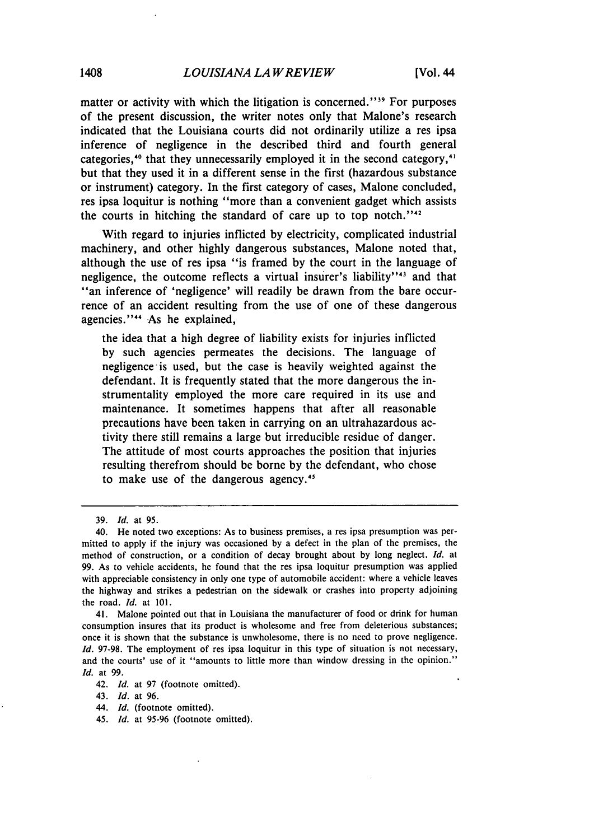matter or activity with which the litigation is concerned."<sup>39</sup> For purposes of the present discussion, the writer notes only that Malone's research indicated that the Louisiana courts did not ordinarily utilize a res ipsa inference of negligence in the described third and fourth general categories,<sup>10</sup> that they unnecessarily employed it in the second category,<sup>1</sup> but that they used it in a different sense in the first (hazardous substance or instrument) category. In the first category of cases, Malone concluded, res ipsa loquitur is nothing "more than a convenient gadget which assists the courts in hitching the standard of care up to top notch." $42$ 

With regard to injuries inflicted by electricity, complicated industrial machinery, and other highly dangerous substances, Malone noted that, although the use of res ipsa "is framed by the court in the language of negligence, the outcome reflects a virtual insurer's liability"<sup>43</sup> and that "an inference of 'negligence' will readily be drawn from the bare occurrence of an accident resulting from the use of one of these dangerous agencies."" As he explained,

the idea that a high degree of liability exists for injuries inflicted by such agencies permeates the decisions. The language of negligence is used, but the case is heavily weighted against the defendant. It is frequently stated that the more dangerous the instrumentality employed the more care required in its use and maintenance. It sometimes happens that after all reasonable precautions have been taken in carrying on an ultrahazardous activity there still remains a large but irreducible residue of danger. The attitude of most courts approaches the position that injuries resulting therefrom should be borne by the defendant, who chose to make use of the dangerous agency.'

41. Malone pointed out that in Louisiana the manufacturer of food or drink for human consumption insures that its product is wholesome and free from deleterious substances; once it is shown that the substance is unwholesome, there is no need to prove negligence. *Id.* 97-98. The employment of res ipsa loquitur in this type of situation is not necessary, and the courts' use of it "amounts to little more than window dressing in the opinion." *Id.* at 99.

42. *Id.* at 97 (footnote omitted).

43. *Id.* at 96.

44. *Id.* (footnote omitted).

45. *Id.* at 95-96 (footnote omitted).

<sup>39.</sup> *Id.* at 95.

<sup>40.</sup> He noted two exceptions: As to business premises, a res ipsa presumption was permitted to apply if the injury was occasioned by a defect in the plan of the premises, the method of construction, or a condition of decay brought about by long neglect. *Id.* at 99. As to vehicle accidents, he found that the res ipsa loquitur presumption was applied with appreciable consistency in only one type of automobile accident: where a vehicle leaves the highway and strikes a pedestrian on the sidewalk or crashes into property adjoining the road. *Id.* at 101.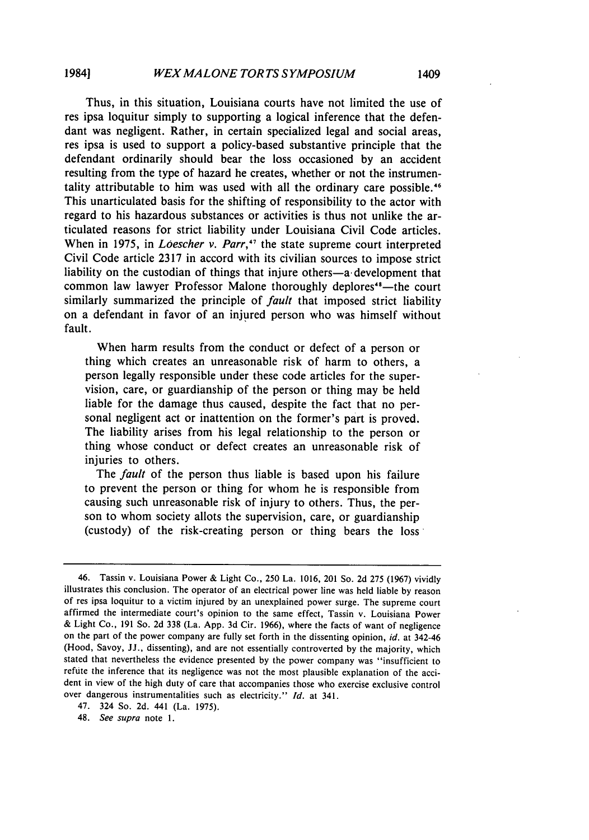Thus, in this situation, Louisiana courts have not limited the use of res ipsa loquitur simply to supporting a logical inference that the defendant was negligent. Rather, in certain specialized legal and social areas, res ipsa is used to support a policy-based substantive principle that the defendant ordinarily should bear the loss occasioned by an accident resulting from the type of hazard he creates, whether or not the instrumentality attributable to him was used with all the ordinary care possible.<sup>46</sup> This unarticulated basis for the shifting of responsibility to the actor with regard to his hazardous substances or activities is thus not unlike the articulated reasons for strict liability under Louisiana Civil Code articles. When in 1975, in *Loescher v. Parr,'7* the state supreme court interpreted Civil Code article 2317 in accord with its civilian sources to impose strict liability on the custodian of things that injure others—a development that common law lawyer Professor Malone thoroughly deplores<sup>48</sup>—the court similarly summarized the principle of *fault* that imposed strict liability on a defendant in favor of an injured person who was himself without fault.

When harm results from the conduct or defect of a person or thing which creates an unreasonable risk of harm to others, a person legally responsible under these code articles for the supervision, care, or guardianship of the person or thing may be held liable for the damage thus caused, despite the fact that no personal negligent act or inattention on the former's part is proved. The liability arises from his legal relationship to the person or thing whose conduct or defect creates an unreasonable risk of injuries to others.

The *fault* of the person thus liable is based upon his failure to prevent the person or thing for whom he is responsible from causing such unreasonable risk of injury to others. Thus, the person to whom society allots the supervision, care, or guardianship (custody) of the risk-creating person or thing bears the loss

<sup>46.</sup> Tassin v. Louisiana Power & Light Co., 250 La. 1016, 201 So. 2d 275 (1967) vividly illustrates this conclusion. The operator of an electrical power line was held liable by reason of res ipsa loquitur to a victim injured by an unexplained power surge. The supreme court affirmed the intermediate court's opinion to the same effect, Tassin v. Louisiana Power & Light Co., 191 So. 2d 338 (La. App. 3d Cir. 1966), where the facts of want of negligence on the part of the power company are fully set forth in the dissenting opinion, *id.* at 342-46 (Hood, Savoy, JJ., dissenting), and are not essentially controverted by the majority, which stated that nevertheless the evidence presented by the power company was "insufficient to refute the inference that its negligence was not the most plausible explanation of the accident in view of the high duty of care that accompanies those who exercise exclusive control over dangerous instrumentalities such as electricity." *Id.* at 341.

<sup>47. 324</sup> So. 2d. 441 (La. 1975).

<sup>48.</sup> *See supra* note 1.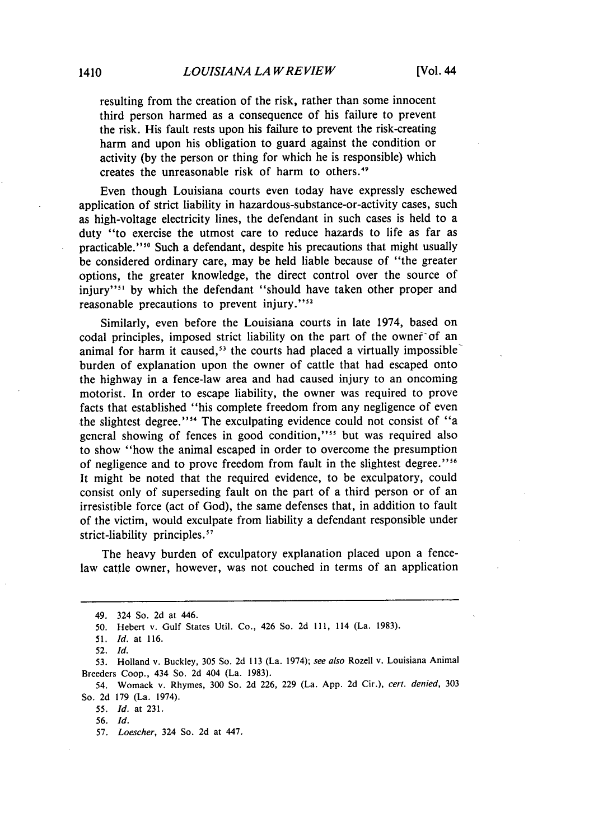resulting from the creation of the risk, rather than some innocent third person harmed as a consequence of his failure to prevent the risk. His fault rests upon his failure to prevent the risk-creating harm and upon his obligation to guard against the condition or activity (by the person or thing for which he is responsible) which creates the unreasonable risk of harm to others.<sup>49</sup>

Even though Louisiana courts even today have expressly eschewed application of strict liability in hazardous-substance-or-activity cases, such as high-voltage electricity lines, the defendant in such cases is held to a duty "to exercise the utmost care to reduce hazards to life as far as practicable."<sup>50</sup> Such a defendant, despite his precautions that might usually be considered ordinary care, may be held liable because of "the greater options, the greater knowledge, the direct control over the source of injury"<sup>31</sup> by which the defendant "should have taken other proper and reasonable precautions to prevent injury."<sup>52</sup>

Similarly, even before the Louisiana courts in late 1974, based on codal principles, imposed strict liability on the part of the owner of an animal for harm it caused,<sup>53</sup> the courts had placed a virtually impossible burden of explanation upon the owner of cattle that had escaped onto the highway in a fence-law area and had caused injury to an oncoming motorist. In order to escape liability, the owner was required to prove facts that established "his complete freedom from any negligence of even the slightest degree."<sup>54</sup> The exculpating evidence could not consist of "a general showing of fences in good condition,"<sup>55</sup> but was required also to show "how the animal escaped in order to overcome the presumption of negligence and to prove freedom from fault in the slightest degree."<sup>56</sup> It might be noted that the required evidence, to be exculpatory, could consist only of superseding fault on the part of a third person or of an irresistible force (act of God), the same defenses that, in addition to fault of the victim, would exculpate from liability a defendant responsible under strict-liability principles.<sup>57</sup>

The heavy burden of exculpatory explanation placed upon a fencelaw cattle owner, however, was not couched in terms of an application

<sup>49. 324</sup> So. 2d at 446.

<sup>50.</sup> Hebert v. Gulf States Util. Co., 426 So. 2d **111,** 114 (La. 1983).

*<sup>51.</sup> Id.* at 116.

<sup>52.</sup> Id.

*<sup>53.</sup>* Holland v. Buckley, 305 So. 2d **113** (La. 1974); *see also* Rozell v. Louisiana Animal Breeders Coop., 434 So. 2d 404 (La. 1983).

<sup>54.</sup> Womack v. Rhymes, 300 So. 2d 226, 229 (La. App. 2d Cir.), *cert. denied,* 303 So. 2d 179 (La. 1974).

<sup>55.</sup> *Id.* at 231.

**<sup>56.</sup> Id.**

<sup>57.</sup> *Loescher,* 324 So. 2d at 447.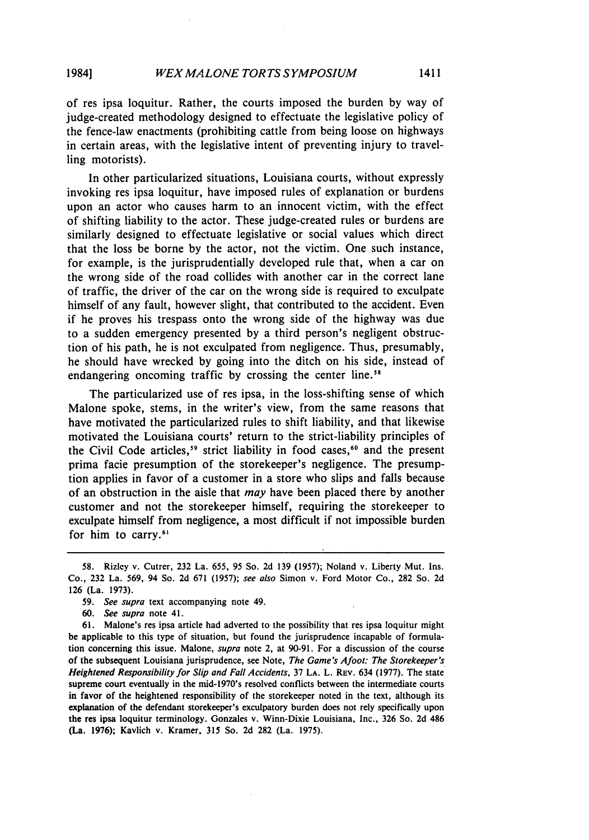of res ipsa loquitur. Rather, the courts imposed the burden by way of judge-created methodology designed to effectuate the legislative policy of the fence-law enactments (prohibiting cattle from being loose on highways in certain areas, with the legislative intent of preventing injury to travelling motorists).

In other particularized situations, Louisiana courts, without expressly invoking res ipsa loquitur, have imposed rules of explanation or burdens upon an actor who causes harm to an innocent victim, with the effect of shifting liability to the actor. These judge-created rules or burdens are similarly designed to effectuate legislative or social values which direct that the loss be borne by the actor, not the victim. One such instance, for example, is the jurisprudentially developed rule that, when a car on the wrong side of the road collides with another car in the correct lane of traffic, the driver of the car on the wrong side is required to exculpate himself of any fault, however slight, that contributed to the accident. Even if he proves his trespass onto the wrong side of the highway was due to a sudden emergency presented by a third person's negligent obstruction of his path, he is not exculpated from negligence. Thus, presumably, he should have wrecked by going into the ditch on his side, instead of endangering oncoming traffic by crossing the center line.<sup>58</sup>

The particularized use of res ipsa, in the loss-shifting sense of which Malone spoke, stems, in the writer's view, from the same reasons that have motivated the particularized rules to shift liability, and that likewise motivated the Louisiana courts' return to the strict-liability principles of the Civil Code articles,<sup>59</sup> strict liability in food cases,<sup>60</sup> and the present prima facie presumption of the storekeeper's negligence. The presumption applies in favor of a customer in a store who slips and falls because of an obstruction in the aisle that *may* have been placed there by another customer and not the storekeeper himself, requiring the storekeeper to exculpate himself from negligence, a most difficult if not impossible burden for him to carry.<sup>61</sup>

<sup>58.</sup> Rizley v. Cutrer, 232 La. 655, 95 So. 2d 139 (1957); Noland v. Liberty Mut. Ins. Co., 232 La. 569, 94 So. 2d 671 (1957); *see also* Simon v. Ford Motor Co., 282 So. 2d 126 (La. 1973).

<sup>59.</sup> *See supra* text accompanying note 49.

*<sup>60.</sup> See supra* note 41.

<sup>61.</sup> Malone's res ipsa article had adverted to the possibility that res ipsa loquitur might be applicable to this type of situation, but found the jurisprudence incapable of formulation concerning this issue. Malone, *supra* note 2, at 90-91. For a discussion of the course of the subsequent Louisiana jurisprudence, see Note, *The Game's Afoot: The Storekeeper's Heightened Responsibility for Slip and Fall Accidents,* 37 **LA.** L. REV. 634 (1977). The state supreme court eventually in the mid-1970's resolved conflicts between the intermediate courts in favor of the heightened responsibility of the storekeeper noted in the text, although its explanation of the defendant storekeeper's exculpatory burden does not rely specifically upon the res ipsa loquitur terminology. Gonzales v. Winn-Dixie Louisiana, Inc., 326 So. 2d 486 (La. 1976); Kavlich v. Kramer, 315 So. 2d 282 (La. 1975).